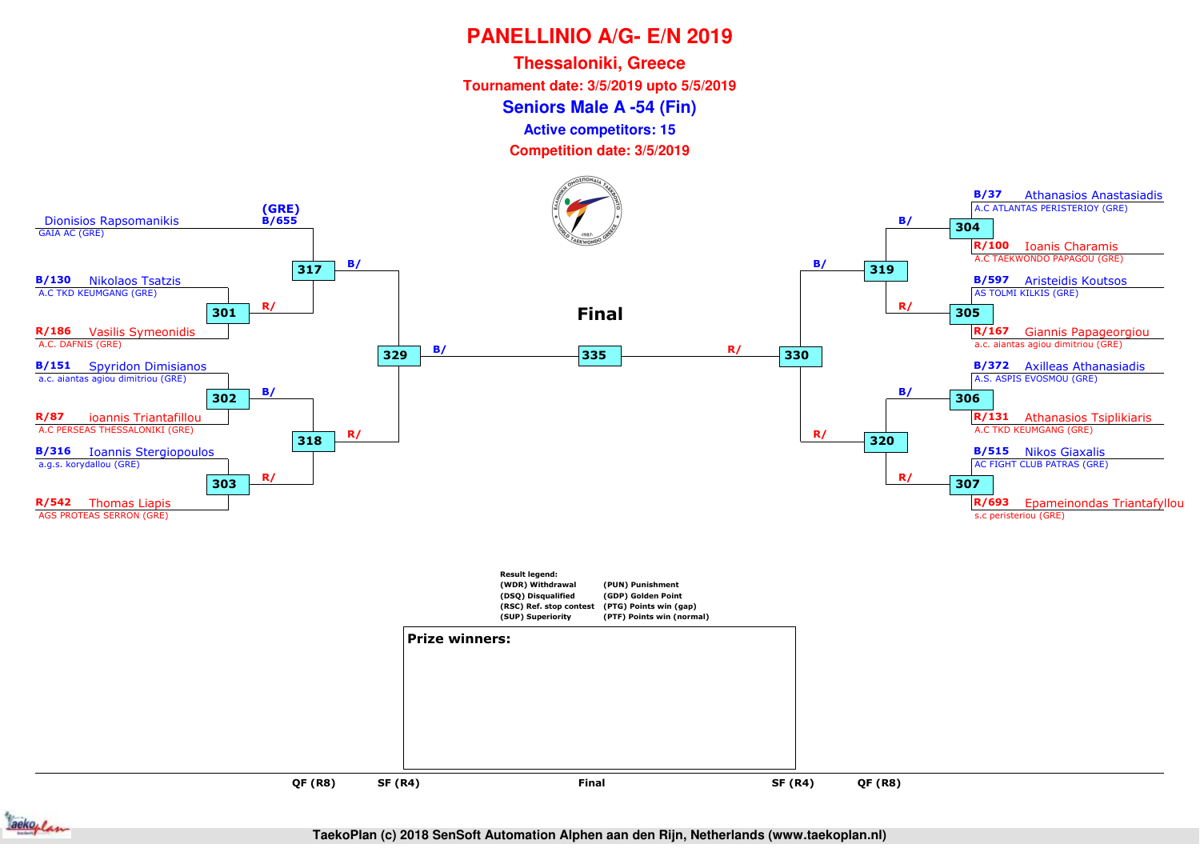**Thessaloniki, Greece**

**Tournament date: 3/5/2019 upto 5/5/2019**

**Seniors Male A -54 (Fin)**

**Active competitors: 15**



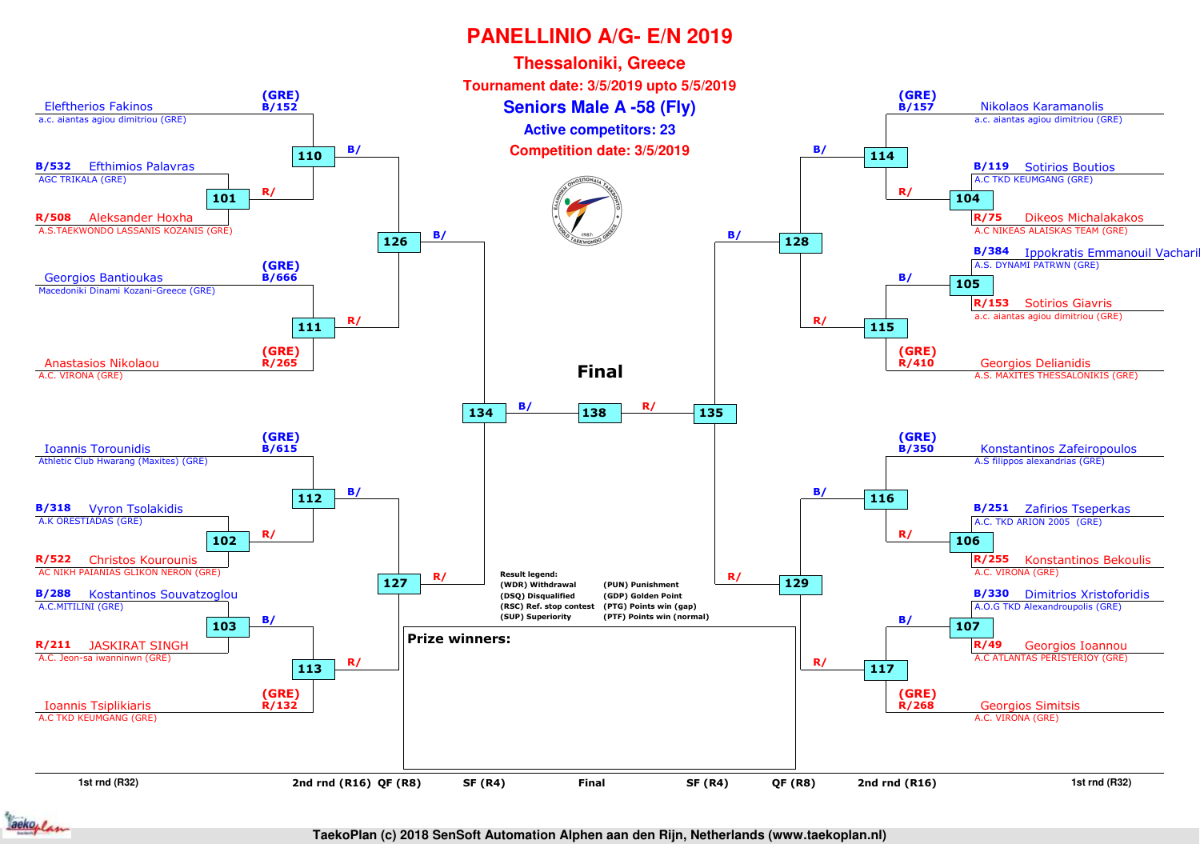

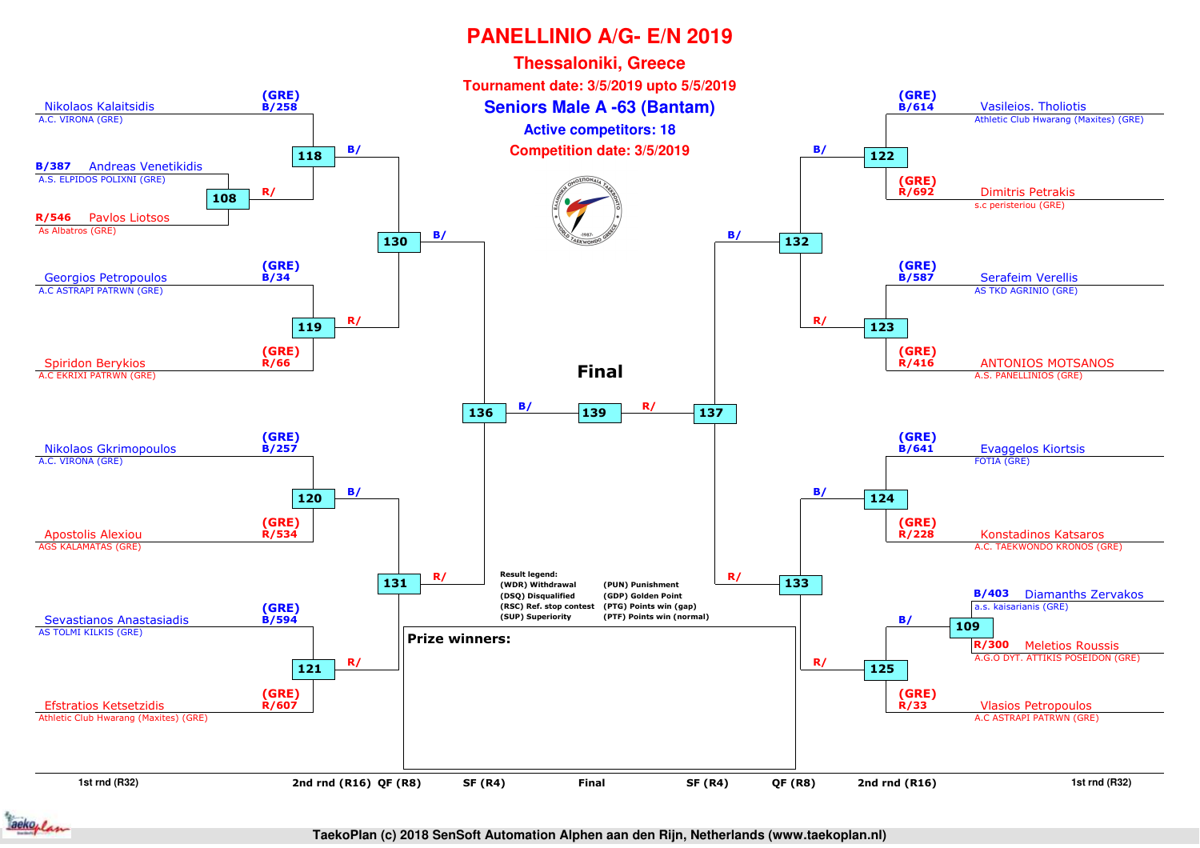

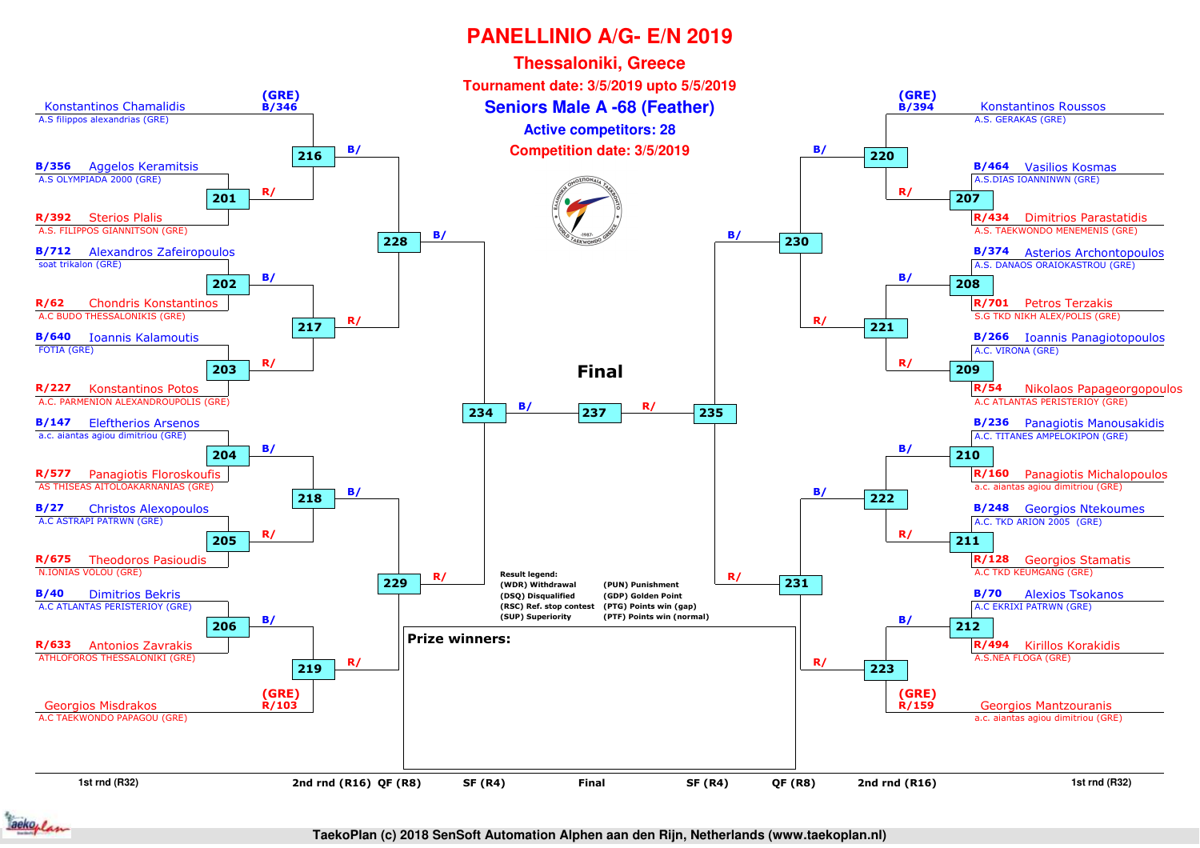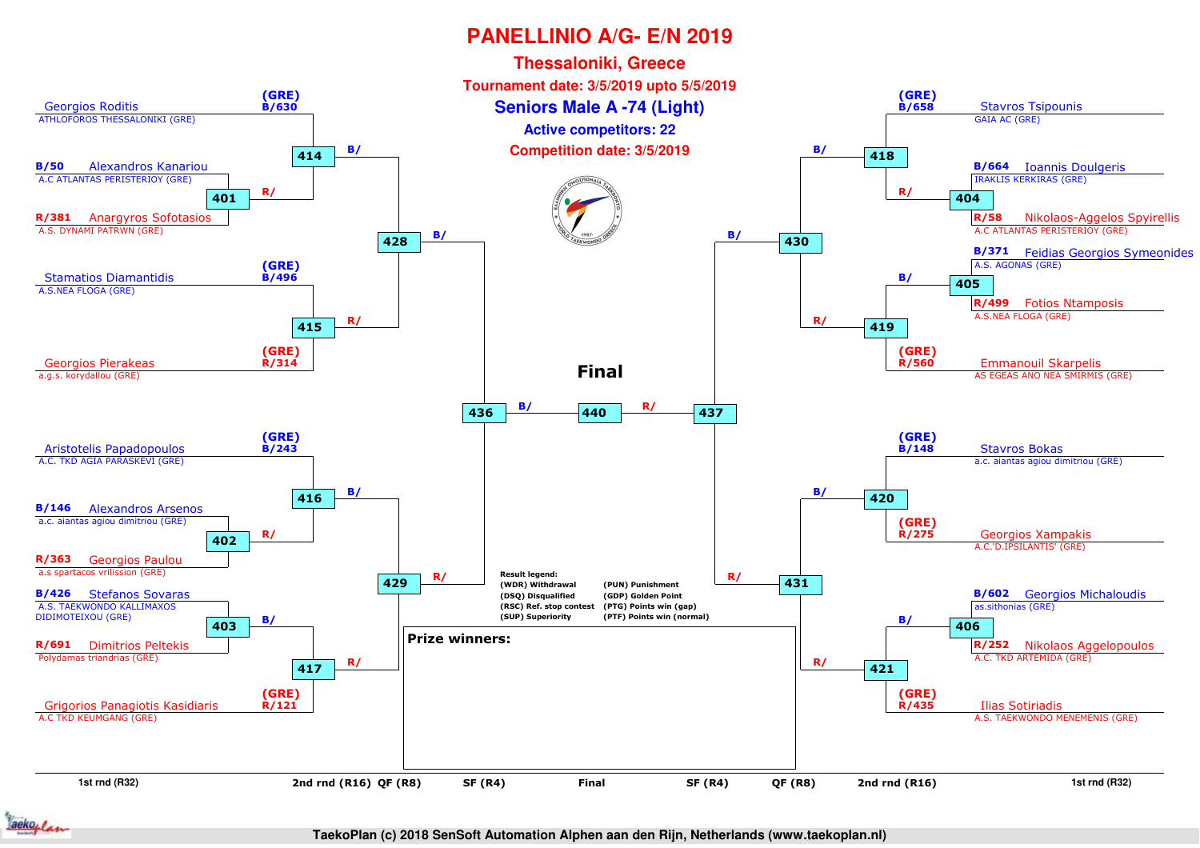

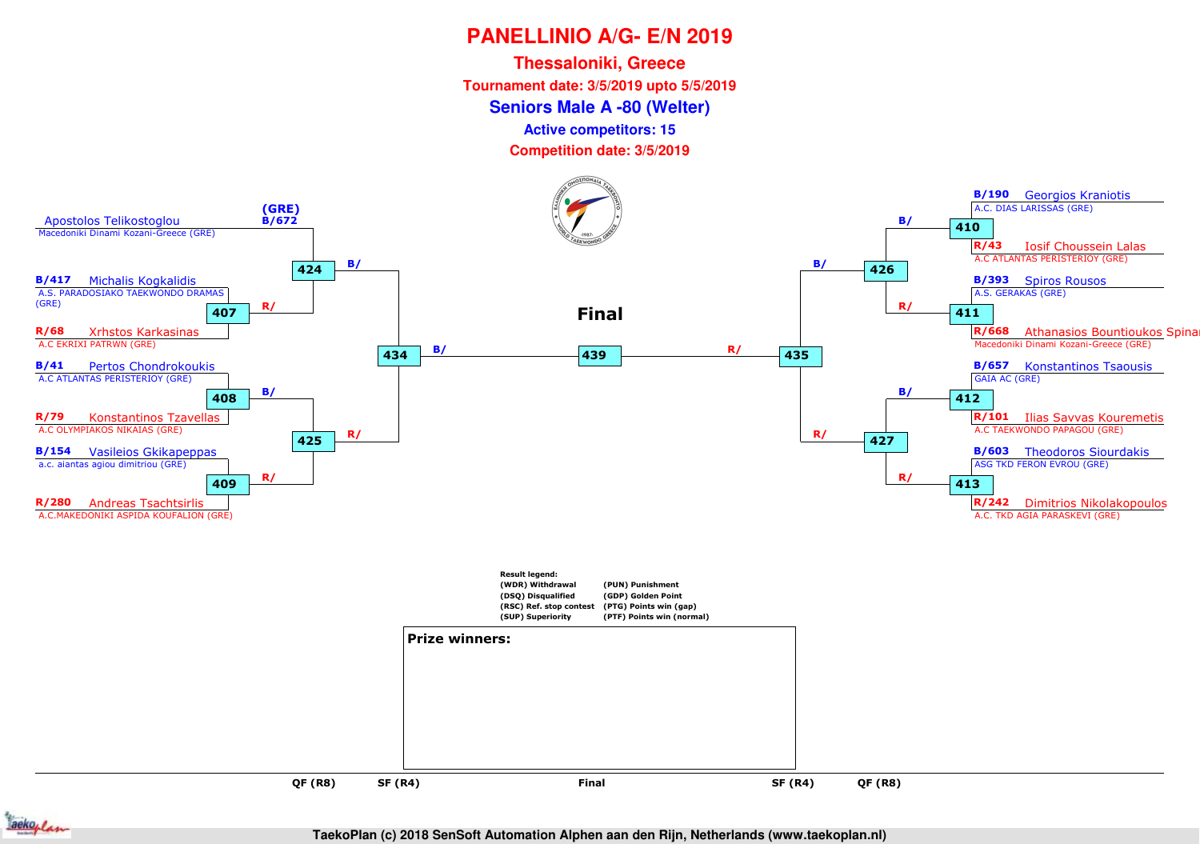**Seniors Male A -80 (Welter)Thessaloniki, GreeceTournament date: 3/5/2019 upto 5/5/2019**

**Active competitors: 15**



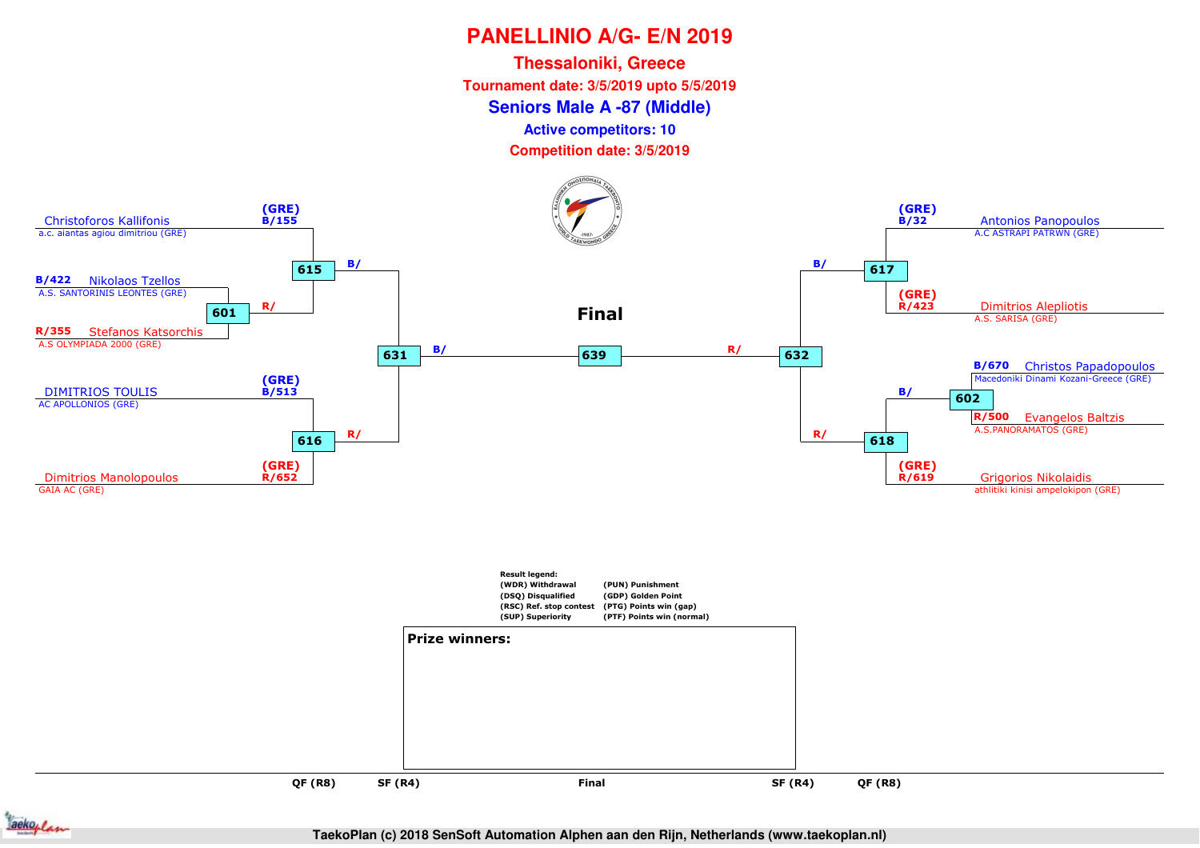**Seniors Male A -87 (Middle)Thessaloniki, GreeceTournament date: 3/5/2019 upto 5/5/2019**

**Active competitors: 10**



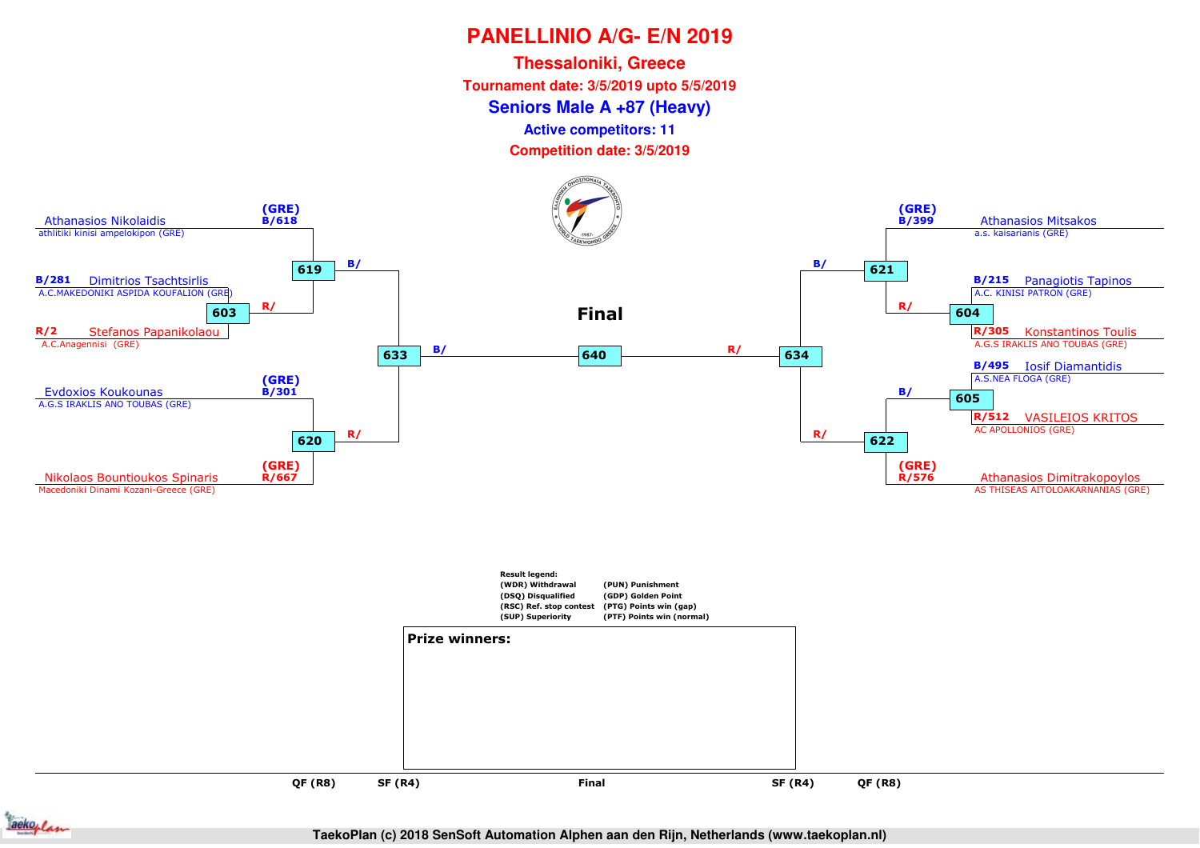**Thessaloniki, GreeceTournament date: 3/5/2019 upto 5/5/2019**

#### **Seniors Male A +87 (Heavy)**

**Active competitors: 11**



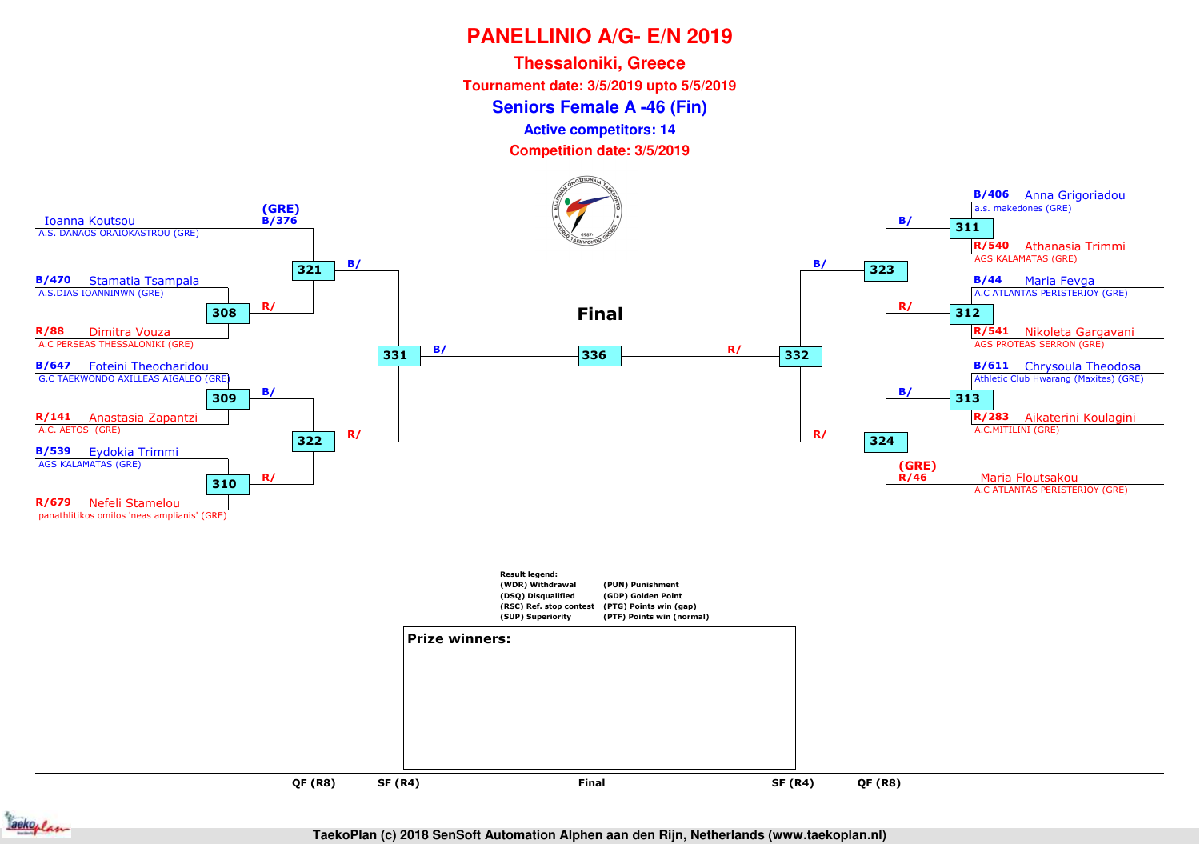**Seniors Female A -46 (Fin)Thessaloniki, GreeceTournament date: 3/5/2019 upto 5/5/2019**

**Active competitors: 14**



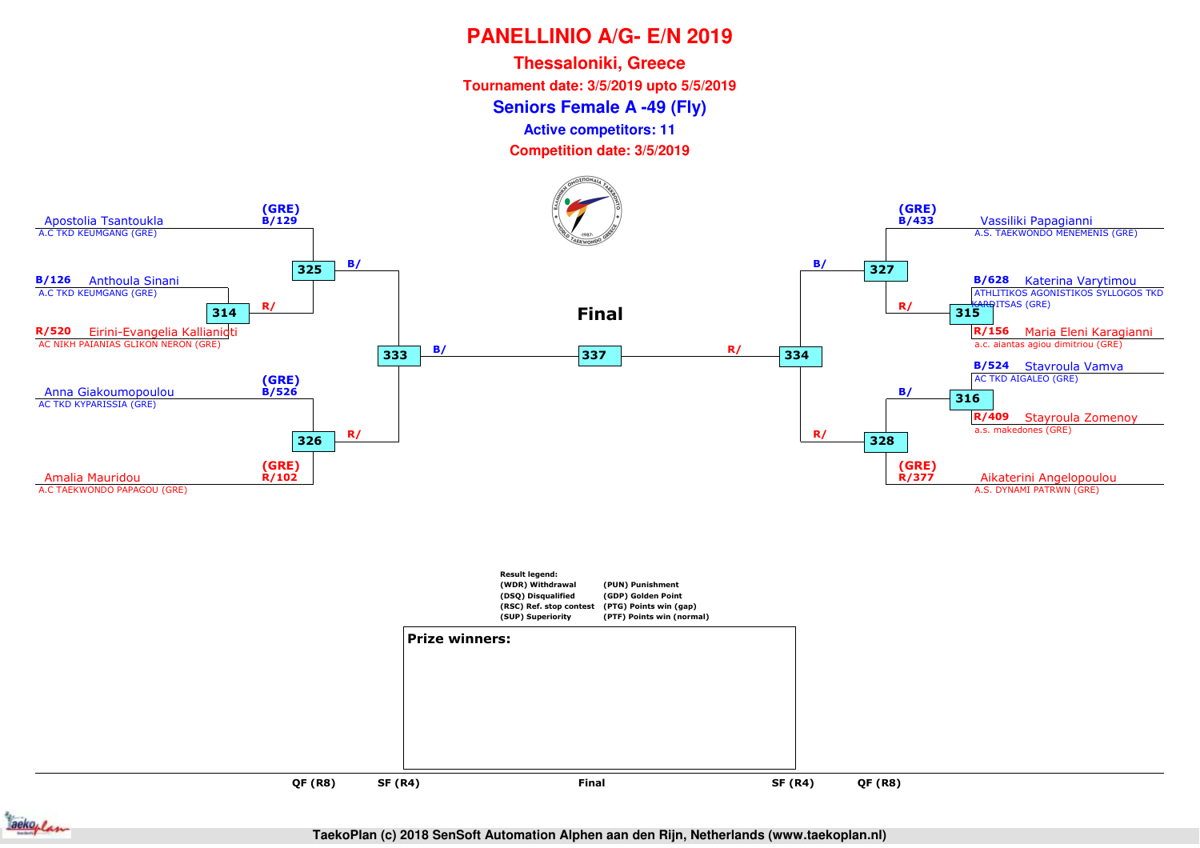**Thessaloniki, GreeceTournament date: 3/5/2019 upto 5/5/2019**

#### **Seniors Female A -49 (Fly)**

**Active competitors: 11**

**Competition date: 3/5/2019**





**QF (R8)**

**SF (R4)**

**TaekoPlan (c) 2018 SenSoft Automation Alphen aan den Rijn, Netherlands (www.taekoplan.nl)**

**QF (R8)**

and **SF (R4)** Final SF (R4)

**Final**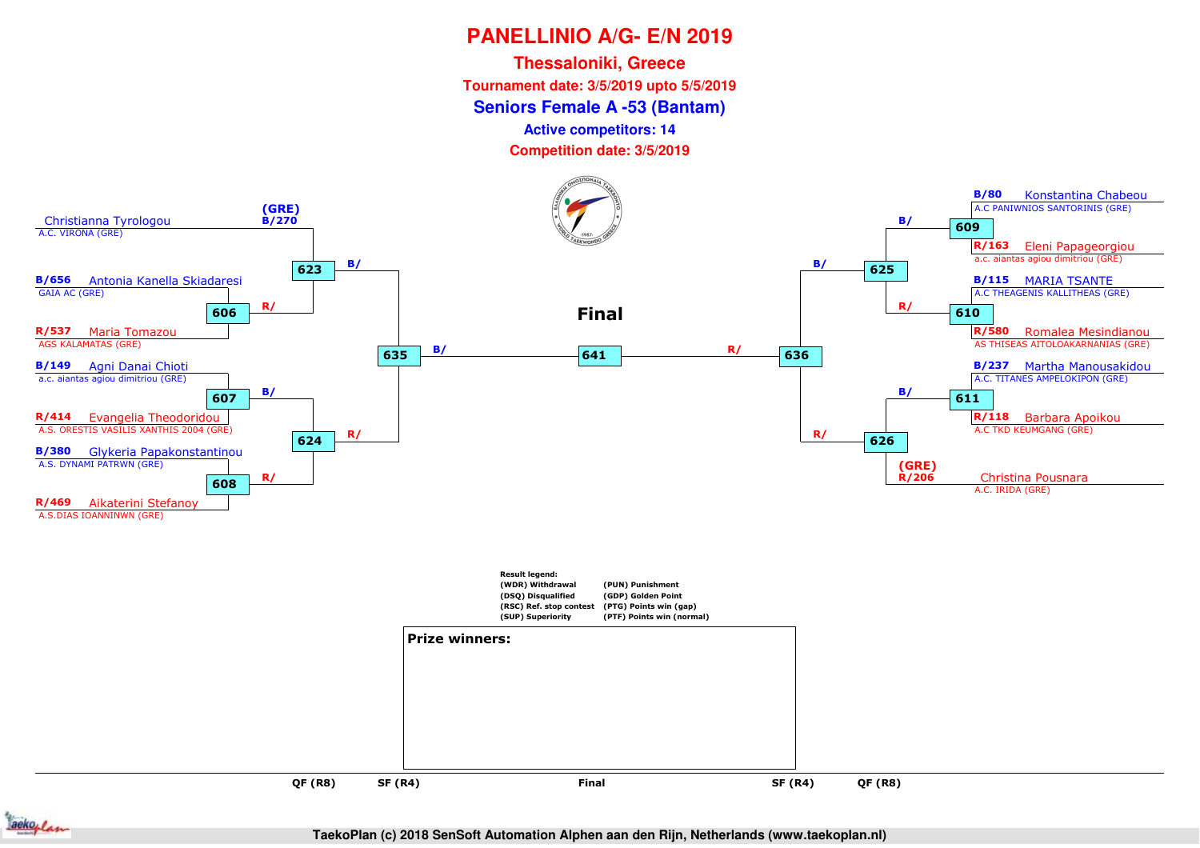**Seniors Female A -53 (Bantam)Thessaloniki, GreeceTournament date: 3/5/2019 upto 5/5/2019**

**Active competitors: 14**

**Competition date: 3/5/2019**





**TaekoPlan (c) 2018 SenSoft Automation Alphen aan den Rijn, Netherlands (www.taekoplan.nl)**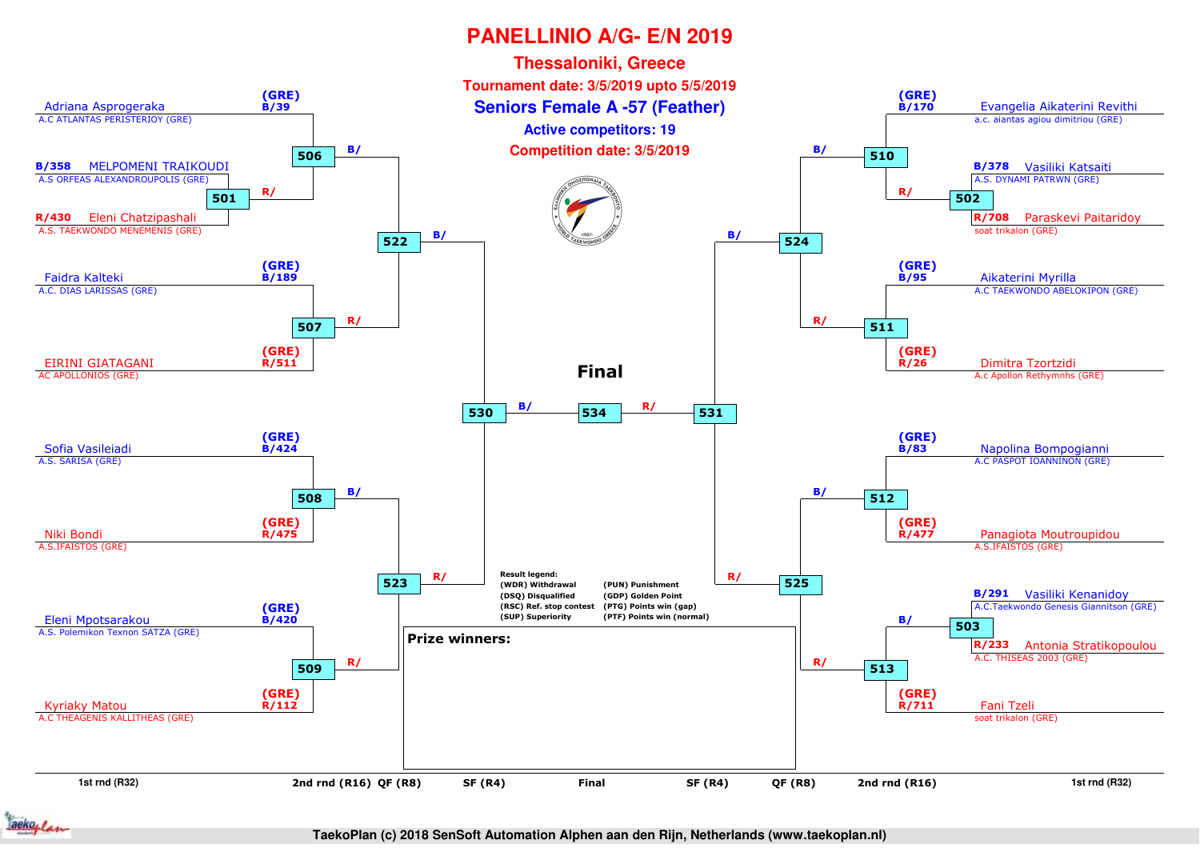

**TaekoPlan (c) 2018 SenSoft Automation Alphen aan den Rijn, Netherlands (www.taekoplan.nl)**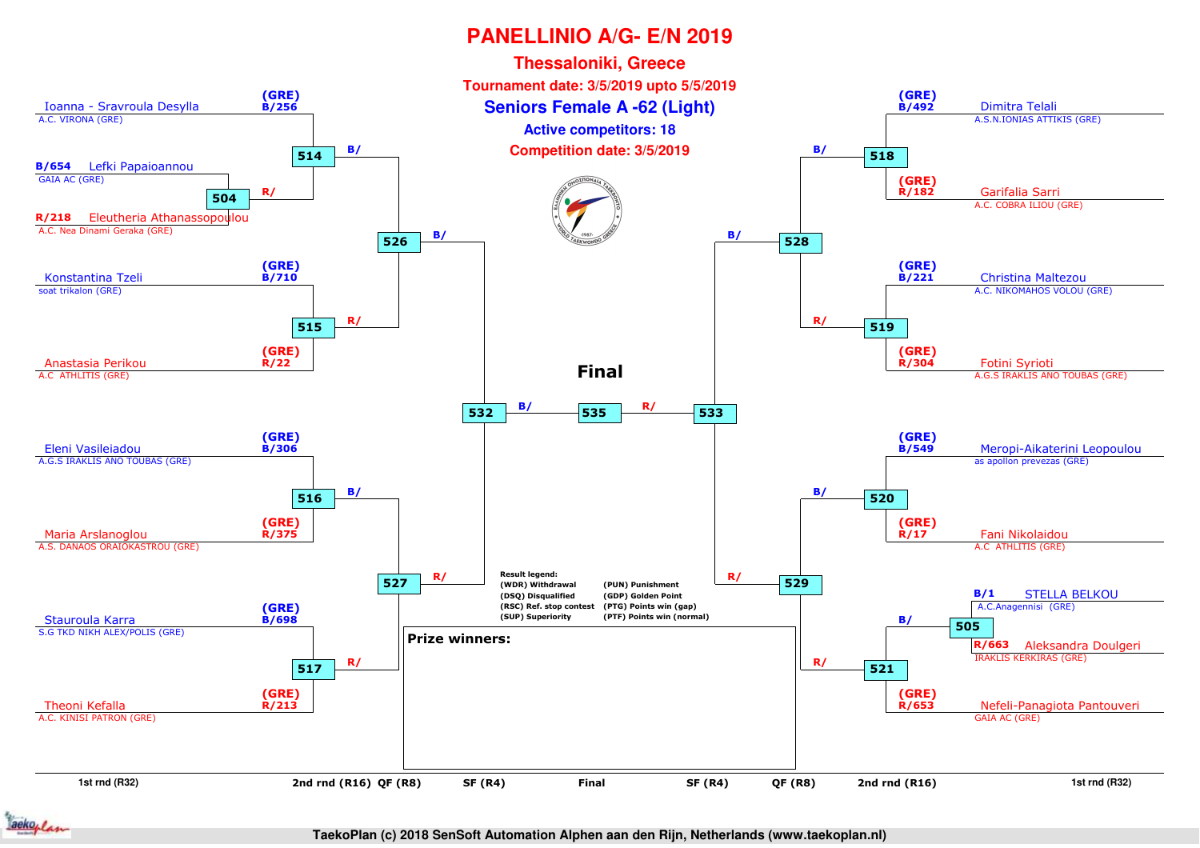

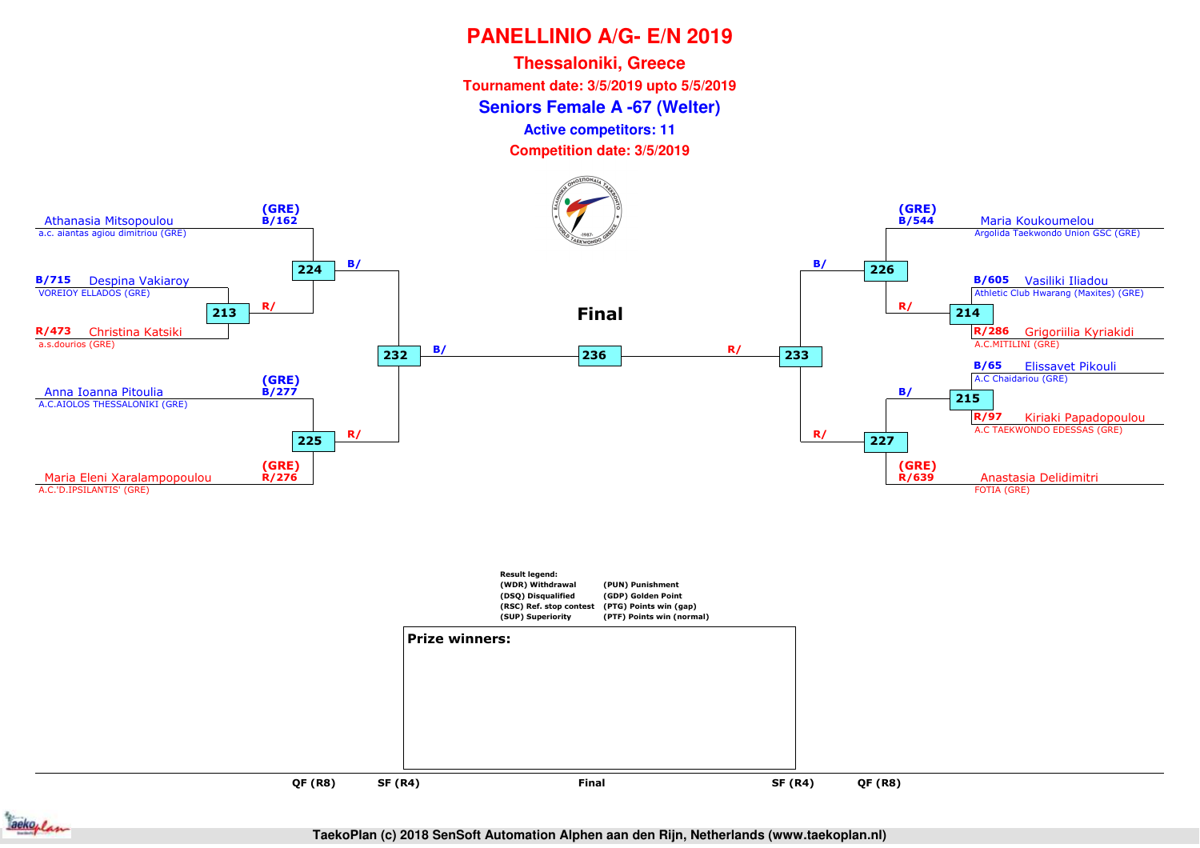**Seniors Female A -67 (Welter)Thessaloniki, GreeceTournament date: 3/5/2019 upto 5/5/2019**

**Active competitors: 11**



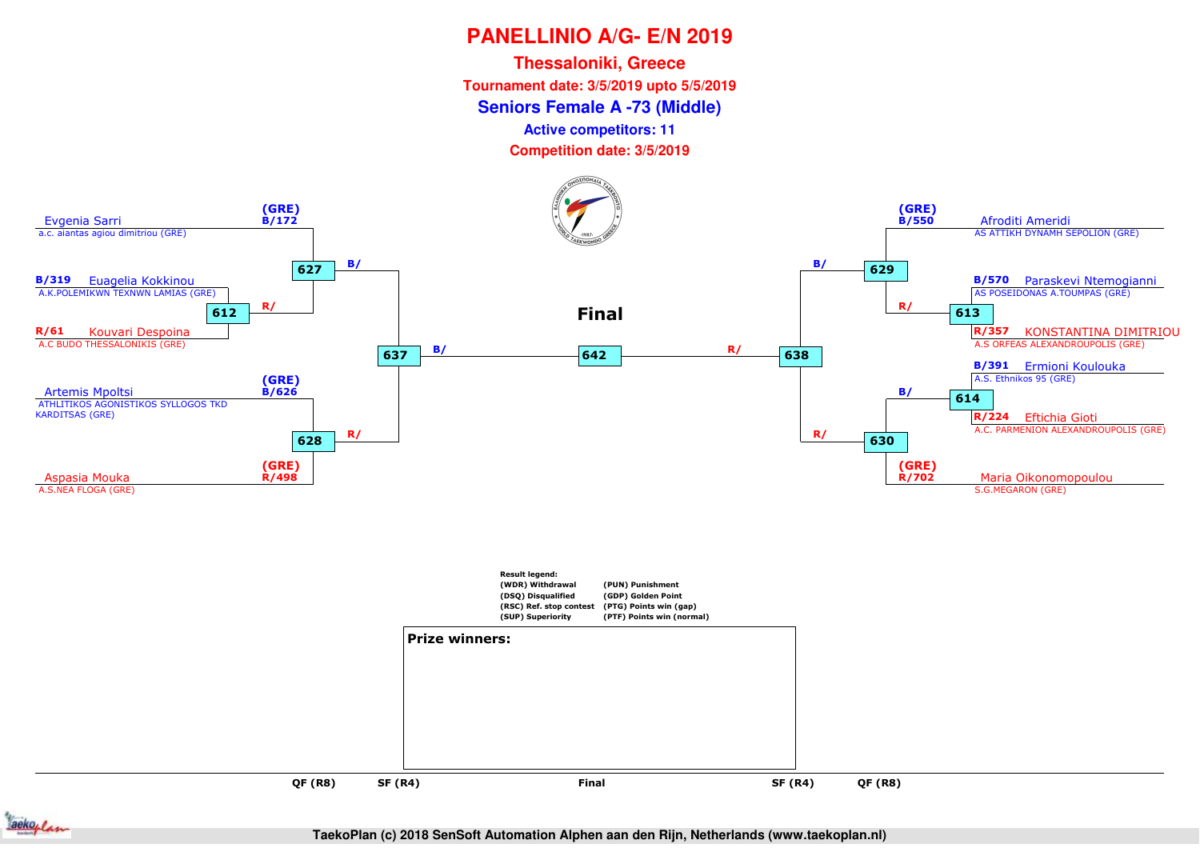**Seniors Female A -73 (Middle)Thessaloniki, GreeceTournament date: 3/5/2019 upto 5/5/2019**

**Active competitors: 11**

**Competition date: 3/5/2019**



**QF (R8)QF (R8)**

**SF (R4)**



**Final**

and **SF (R4)** Final SF (R4)